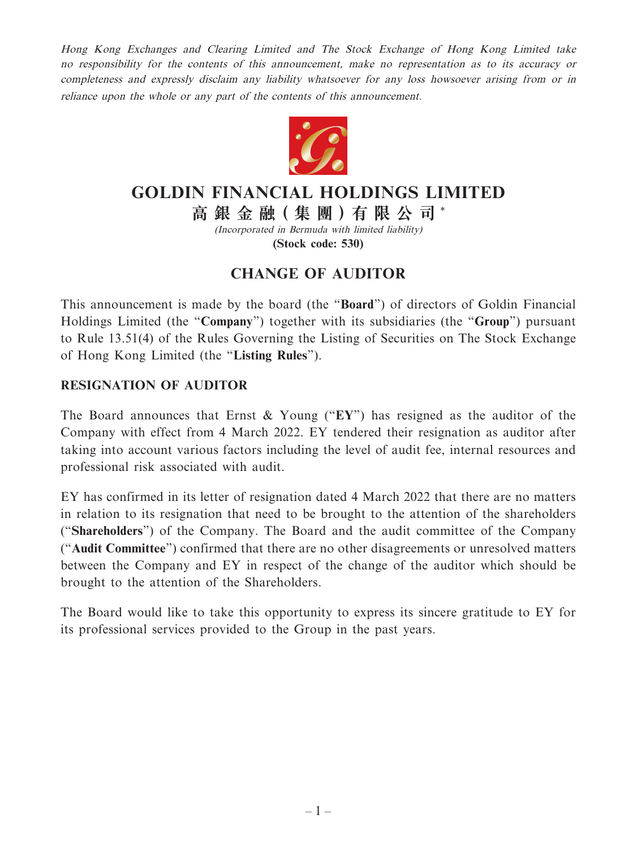Hong Kong Exchanges and Clearing Limited and The Stock Exchange of Hong Kong Limited take no responsibility for the contents of this announcement, make no representation as to its accuracy or completeness and expressly disclaim any liability whatsoever for any loss howsoever arising from or in reliance upon the whole or any part of the contents of this announcement.



## **GOLDIN FINANCIAL HOLDINGS LIMITED**

**高 銀 金 融( 集 團 )有 限 公 司** \*

(Incorporated in Bermuda with limited liability) **(Stock code: 530)**

## **CHANGE OF AUDITOR**

This announcement is made by the board (the "**Board**") of directors of Goldin Financial Holdings Limited (the "**Company**") together with its subsidiaries (the "**Group**") pursuant to Rule 13.51(4) of the Rules Governing the Listing of Securities on The Stock Exchange of Hong Kong Limited (the "**Listing Rules**").

## **RESIGNATION OF AUDITOR**

The Board announces that Ernst & Young ("**EY**") has resigned as the auditor of the Company with effect from 4 March 2022. EY tendered their resignation as auditor after taking into account various factors including the level of audit fee, internal resources and professional risk associated with audit.

EY has confirmed in its letter of resignation dated 4 March 2022 that there are no matters in relation to its resignation that need to be brought to the attention of the shareholders ("**Shareholders**") of the Company. The Board and the audit committee of the Company ("**Audit Committee**") confirmed that there are no other disagreements or unresolved matters between the Company and EY in respect of the change of the auditor which should be brought to the attention of the Shareholders.

The Board would like to take this opportunity to express its sincere gratitude to EY for its professional services provided to the Group in the past years.